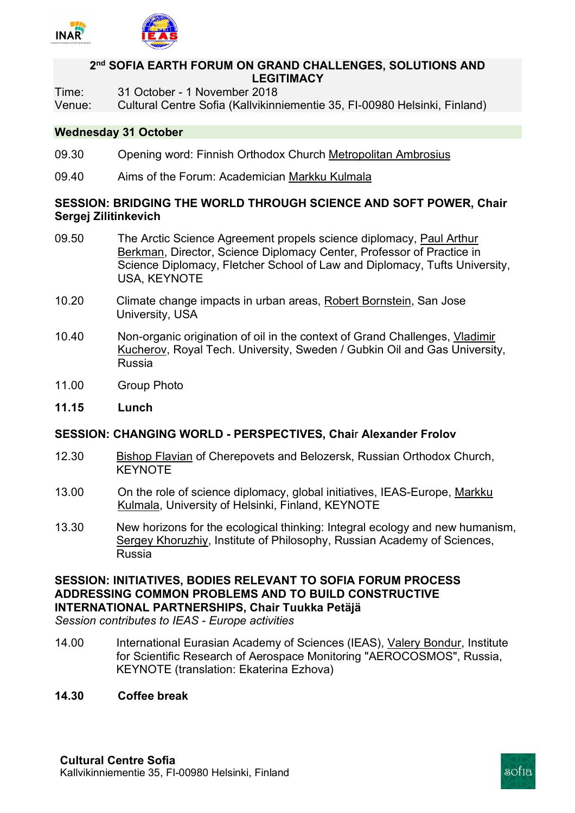

## **2nd SOFIA EARTH FORUM ON GRAND CHALLENGES, SOLUTIONS AND LEGITIMACY**

- Time: 31 October 1 November 2018
- Venue: Cultural Centre Sofia (Kallvikinniementie 35, FI-00980 Helsinki, Finland)

#### **Wednesday 31 October**

- 09.30 Opening word: Finnish Orthodox Church Metropolitan Ambrosius
- 09.40 Aims of the Forum: Academician Markku Kulmala

## **SESSION: BRIDGING THE WORLD THROUGH SCIENCE AND SOFT POWER, Chair Sergej Zilitinkevich**

- 09.50 The Arctic Science Agreement propels science diplomacy, Paul Arthur Berkman, Director, Science Diplomacy Center, Professor of Practice in Science Diplomacy, Fletcher School of Law and Diplomacy, Tufts University, USA, KEYNOTE
- 10.20 Climate change impacts in urban areas, Robert Bornstein, San Jose University, USA
- 10.40 Non-organic origination of oil in the context of Grand Challenges, Vladimir Kucherov, Royal Tech. University, Sweden / Gubkin Oil and Gas University, Russia
- 11.00 Group Photo
- **11.15 Lunch**

## **SESSION: CHANGING WORLD - PERSPECTIVES, Chai**r **Alexander Frolov**

- 12.30 Bishop Flavian of Cherepovets and Belozersk, Russian Orthodox Church, **KEYNOTE**
- 13.00 On the role of science diplomacy, global initiatives, IEAS-Europe, Markku Kulmala, University of Helsinki, Finland, KEYNOTE
- 13.30 New horizons for the ecological thinking: Integral ecology and new humanism, Sergey Khoruzhiy, Institute of Philosophy, Russian Academy of Sciences, Russia

# **SESSION: INITIATIVES, BODIES RELEVANT TO SOFIA FORUM PROCESS ADDRESSING COMMON PROBLEMS AND TO BUILD CONSTRUCTIVE INTERNATIONAL PARTNERSHIPS, Chair Tuukka Petäjä**

*Session contributes to IEAS - Europe activities* 

- 14.00 International Eurasian Academy of Sciences (IEAS), Valery Bondur, Institute for Scientific Research of Aerospace Monitoring "AEROCOSMOS", Russia, KEYNOTE (translation: Ekaterina Ezhova)
- **14.30 Coffee break**